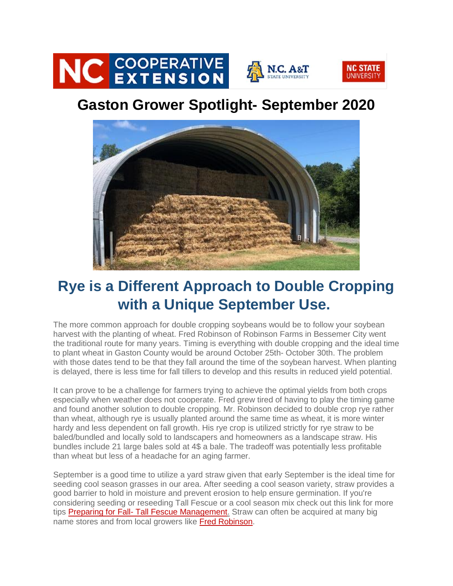

## **Gaston Grower Spotlight- September 2020**



## **Rye is a Different Approach to Double Cropping with a Unique September Use.**

The more common approach for double cropping soybeans would be to follow your soybean harvest with the planting of wheat. Fred Robinson of Robinson Farms in Bessemer City went the traditional route for many years. Timing is everything with double cropping and the ideal time to plant wheat in Gaston County would be around October 25th- October 30th. The problem with those dates tend to be that they fall around the time of the soybean harvest. When planting is delayed, there is less time for fall tillers to develop and this results in reduced yield potential.

It can prove to be a challenge for farmers trying to achieve the optimal yields from both crops especially when weather does not cooperate. Fred grew tired of having to play the timing game and found another solution to double cropping. Mr. Robinson decided to double crop rye rather than wheat, although rye is usually planted around the same time as wheat, it is more winter hardy and less dependent on fall growth. His rye crop is utilized strictly for rye straw to be baled/bundled and locally sold to landscapers and homeowners as a landscape straw. His bundles include 21 large bales sold at 4\$ a bale. The tradeoff was potentially less profitable than wheat but less of a headache for an aging farmer.

September is a good time to utilize a yard straw given that early September is the ideal time for seeding cool season grasses in our area. After seeding a cool season variety, straw provides a good barrier to hold in moisture and prevent erosion to help ensure germination. If you're considering seeding or reseeding Tall Fescue or a cool season mix check out this link for more tips Preparing for Fall- [Tall Fescue Management.](https://gaston.ces.ncsu.edu/2020/08/preparing-for-fall-tall-fescue-management/) Straw can often be acquired at many big name stores and from local growers like [Fred Robinson.](https://www.directionus.com/nc/bessemer-city/robinson-farms.html)